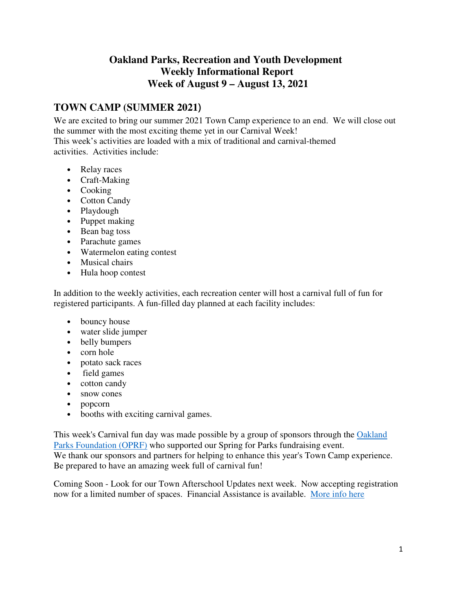# **Oakland Parks, Recreation and Youth Development Weekly Informational Report Week of August 9 – August 13, 2021**

# **TOWN CAMP (SUMMER 2021**)

We are excited to bring our summer 2021 Town Camp experience to an end. We will close out the summer with the most exciting theme yet in our Carnival Week! This week's activities are loaded with a mix of traditional and carnival-themed activities. Activities include:

- Relay races
- Craft-Making
- Cooking
- Cotton Candy
- Playdough
- Puppet making
- Bean bag toss
- Parachute games
- Watermelon eating contest
- Musical chairs
- Hula hoop contest

In addition to the weekly activities, each recreation center will host a carnival full of fun for registered participants. A fun-filled day planned at each facility includes:

- bouncy house
- water slide jumper
- belly bumpers
- corn hole
- potato sack races
- field games
- cotton candy
- snow cones
- popcorn
- booths with exciting carnival games.

This week's Carnival fun day was made possible by a group of sponsors through the Oakland Parks Foundation (OPRF) who supported our Spring for Parks fundraising event. We thank our sponsors and partners for helping to enhance this year's Town Camp experience. Be prepared to have an amazing week full of carnival fun!

Coming Soon - Look for our Town Afterschool Updates next week. Now accepting registration now for a limited number of spaces. Financial Assistance is available. More info here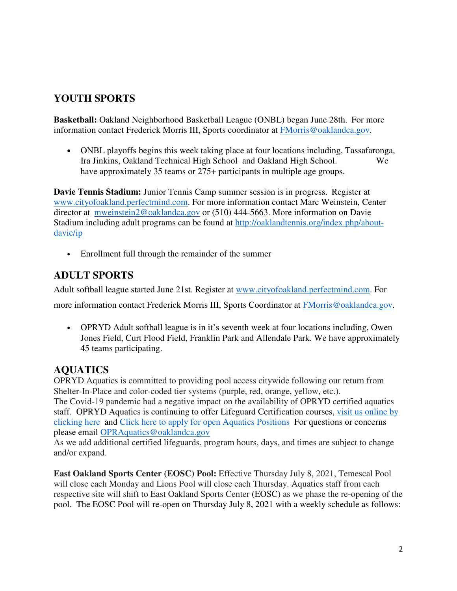# **YOUTH SPORTS**

**Basketball:** Oakland Neighborhood Basketball League (ONBL) began June 28th. For more information contact Frederick Morris III, Sports coordinator at FMorris@oaklandca.gov.

• ONBL playoffs begins this week taking place at four locations including, Tassafaronga, Ira Jinkins, Oakland Technical High School and Oakland High School. We have approximately 35 teams or 275+ participants in multiple age groups.

**Davie Tennis Stadium:** Junior Tennis Camp summer session is in progress. Register at www.cityofoakland.perfectmind.com. For more information contact Marc Weinstein, Center director at mweinstein2@oaklandca.gov or (510) 444-5663. More information on Davie Stadium including adult programs can be found at http://oaklandtennis.org/index.php/aboutdavie/ip

• Enrollment full through the remainder of the summer

# **ADULT SPORTS**

Adult softball league started June 21st. Register at www.cityofoakland.perfectmind.com. For

more information contact Frederick Morris III, Sports Coordinator at FMorris@oaklandca.gov.  

• OPRYD Adult softball league is in it's seventh week at four locations including, Owen Jones Field, Curt Flood Field, Franklin Park and Allendale Park. We have approximately 45 teams participating.

# **AQUATICS**

OPRYD Aquatics is committed to providing pool access citywide following our return from Shelter-In-Place and color-coded tier systems (purple, red, orange, yellow, etc.). The Covid-19 pandemic had a negative impact on the availability of OPRYD certified aquatics staff. OPRYD Aquatics is continuing to offer Lifeguard Certification courses, visit us online by clicking here and Click here to apply for open Aquatics Positions For questions or concerns please email OPRAquatics@oaklandca.gov

As we add additional certified lifeguards, program hours, days, and times are subject to change and/or expand.

**East Oakland Sports Center (EOSC) Pool:** Effective Thursday July 8, 2021, Temescal Pool will close each Monday and Lions Pool will close each Thursday. Aquatics staff from each respective site will shift to East Oakland Sports Center (EOSC) as we phase the re-opening of the pool. The EOSC Pool will re-open on Thursday July 8, 2021 with a weekly schedule as follows: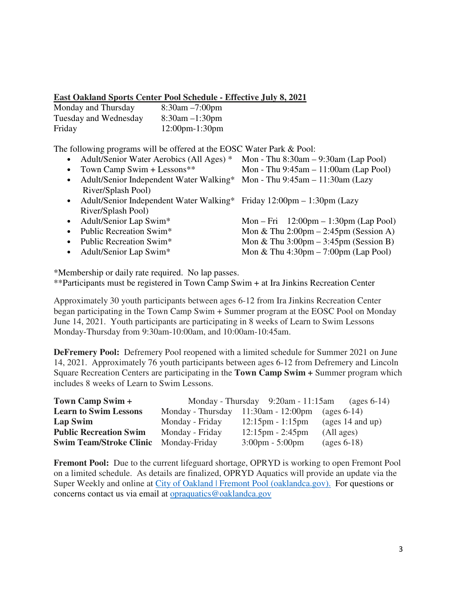### **East Oakland Sports Center Pool Schedule - Effective July 8, 2021**

| Monday and Thursday   | $8:30$ am $-7:00$ pm  |
|-----------------------|-----------------------|
| Tuesday and Wednesday | $8:30$ am $-1:30$ pm  |
| Friday                | $12:00$ pm- $1:30$ pm |

The following programs will be offered at the EOSC Water Park & Pool:

- Adult/Senior Water Aerobics (All Ages) \* Mon Thu 8:30am 9:30am (Lap Pool)
- Town Camp Swim + Lessons<sup>\*\*</sup> Mon Thu  $9:45$ am  $11:00$ am (Lap Pool)
- Adult/Senior Independent Water Walking\* Mon Thu 9:45am 11:30am (Lazy River/Splash Pool)
- Adult/Senior Independent Water Walking\* Friday 12:00pm 1:30pm (Lazy River/Splash Pool)
- 
- 
- 
- 

• Adult/Senior Lap Swim<sup>\*</sup> Mon – Fri 12:00pm – 1:30pm (Lap Pool) • Public Recreation Swim\* Mon & Thu 2:00pm – 2:45pm (Session A) • Public Recreation Swim<sup>\*</sup> Mon & Thu 3:00pm – 3:45pm (Session B) • Adult/Senior Lap Swim\* Mon & Thu  $4:30 \text{pm} - 7:00 \text{pm}$  (Lap Pool)

\*Membership or daily rate required. No lap passes.

\*\*Participants must be registered in Town Camp Swim + at Ira Jinkins Recreation Center

Approximately 30 youth participants between ages 6-12 from Ira Jinkins Recreation Center began participating in the Town Camp Swim + Summer program at the EOSC Pool on Monday June 14, 2021. Youth participants are participating in 8 weeks of Learn to Swim Lessons Monday-Thursday from 9:30am-10:00am, and 10:00am-10:45am.

**DeFremery Pool:** Defremery Pool reopened with a limited schedule for Summer 2021 on June 14, 2021. Approximately 76 youth participants between ages 6-12 from Defremery and Lincoln Square Recreation Centers are participating in the **Town Camp Swim +** Summer program which includes 8 weeks of Learn to Swim Lessons.

| Town Camp Swim +                             |                                           | Monday - Thursday $9:20$ am - 11:15am | (ages $6-14$ )                   |
|----------------------------------------------|-------------------------------------------|---------------------------------------|----------------------------------|
| <b>Learn to Swim Lessons</b>                 | Monday - Thursday $11:30$ am - $12:00$ pm |                                       | (ages $6-14$ )                   |
| Lap Swim                                     | Monday - Friday                           | $12:15 \text{pm} - 1:15 \text{pm}$    | $\frac{1}{4}$ and up)            |
| <b>Public Recreation Swim</b>                | Monday - Friday                           | $12:15 \text{pm} - 2:45 \text{pm}$    | (All ages)                       |
| <b>Swim Team/Stroke Clinic Monday-Friday</b> |                                           | $3:00 \text{pm} - 5:00 \text{pm}$     | $\left(\text{ages } 6-18\right)$ |

**Fremont Pool:** Due to the current lifeguard shortage, OPRYD is working to open Fremont Pool on a limited schedule. As details are finalized, OPRYD Aquatics will provide an update via the Super Weekly and online at City of Oakland | Fremont Pool (oaklandca.gov). For questions or concerns contact us via email at opraquatics@oaklandca.gov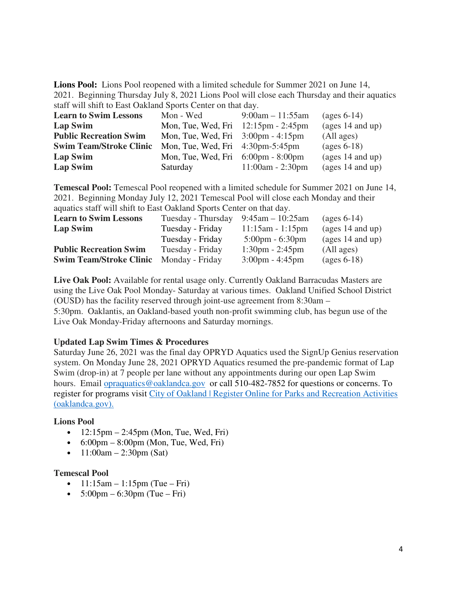**Lions Pool:** Lions Pool reopened with a limited schedule for Summer 2021 on June 14, 2021. Beginning Thursday July 8, 2021 Lions Pool will close each Thursday and their aquatics staff will shift to East Oakland Sports Center on that day.

| <b>Learn to Swim Lessons</b>   | Mon - Wed                                               | $9:00am - 11:55am$ | $\left(\text{ages } 6-14\right)$ |
|--------------------------------|---------------------------------------------------------|--------------------|----------------------------------|
| Lap Swim                       | Mon, Tue, Wed, Fri $12:15 \text{pm}$ - 2:45 $\text{pm}$ |                    | (ages $14$ and up)               |
| <b>Public Recreation Swim</b>  | Mon, Tue, Wed, Fri $3:00 \text{pm} - 4:15 \text{pm}$    |                    | (All ages)                       |
| <b>Swim Team/Stroke Clinic</b> | Mon, Tue, Wed, Fri $4:30 \text{pm}-5:45 \text{pm}$      |                    | $\left(\text{ages } 6-18\right)$ |
| Lap Swim                       | Mon, Tue, Wed, Fri $6:00 \text{pm} - 8:00 \text{pm}$    |                    | (ages $14$ and up)               |
| Lap Swim                       | Saturday                                                | $11:00am - 2:30pm$ | (ages $14$ and up)               |

**Temescal Pool:** Temescal Pool reopened with a limited schedule for Summer 2021 on June 14, 2021. Beginning Monday July 12, 2021 Temescal Pool will close each Monday and their aquatics staff will shift to East Oakland Sports Center on that day.

| <b>Learn to Swim Lessons</b>   | Tuesday - Thursday | $9:45$ am $-10:25$ am             | $\left(\right)$ (ages 6-14)      |
|--------------------------------|--------------------|-----------------------------------|----------------------------------|
| Lap Swim                       | Tuesday - Friday   | $11:15am - 1:15pm$                | $\frac{1}{4}$ and up)            |
|                                | Tuesday - Friday   | $5:00 \text{pm} - 6:30 \text{pm}$ | $\frac{1}{4}$ and up)            |
| <b>Public Recreation Swim</b>  | Tuesday - Friday   | $1:30 \text{pm} - 2:45 \text{pm}$ | (All ages)                       |
| <b>Swim Team/Stroke Clinic</b> | Monday - Friday    | $3:00 \text{pm} - 4:45 \text{pm}$ | $\left(\text{ages } 6-18\right)$ |

**Live Oak Pool:** Available for rental usage only. Currently Oakland Barracudas Masters are using the Live Oak Pool Monday- Saturday at various times. Oakland Unified School District (OUSD) has the facility reserved through joint-use agreement from 8:30am – 5:30pm. Oaklantis, an Oakland-based youth non-profit swimming club, has begun use of the Live Oak Monday-Friday afternoons and Saturday mornings.

### **Updated Lap Swim Times & Procedures**

Saturday June 26, 2021 was the final day OPRYD Aquatics used the SignUp Genius reservation system. On Monday June 28, 2021 OPRYD Aquatics resumed the pre-pandemic format of Lap Swim (drop-in) at 7 people per lane without any appointments during our open Lap Swim hours. Email opraquatics@oaklandca.gov or call 510-482-7852 for questions or concerns. To register for programs visit City of Oakland | Register Online for Parks and Recreation Activities (oaklandca.gov).

### **Lions Pool**

- $12:15 \text{pm} 2:45 \text{pm}$  (Mon, Tue, Wed, Fri)
- $6:00 \text{pm} 8:00 \text{pm}$  (Mon, Tue, Wed, Fri)
- $11:00$ am 2:30pm (Sat)

#### **Temescal Pool**

- $1!:15$ am  $1:15$ pm (Tue Fri)
- $5:00 \text{pm} 6:30 \text{pm}$  (Tue Fri)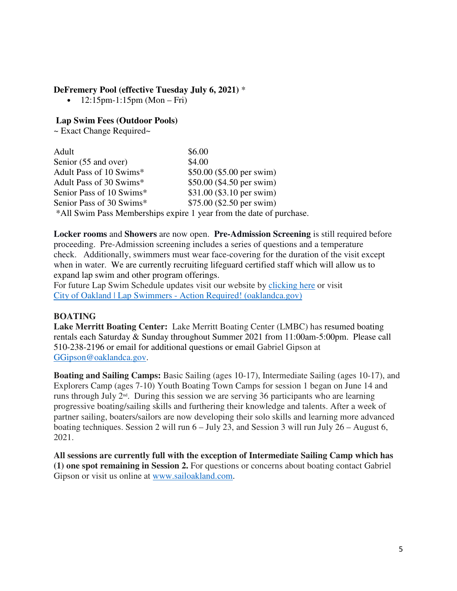### **DeFremery Pool (effective Tuesday July 6, 2021)** \*

•  $12:15 \text{pm} - 1:15 \text{pm}$  (Mon – Fri)

### **Lap Swim Fees (Outdoor Pools)**

~ Exact Change Required~

| Adult                                                               | \$6.00                     |  |
|---------------------------------------------------------------------|----------------------------|--|
| Senior (55 and over)                                                | \$4.00                     |  |
| Adult Pass of 10 Swims*                                             | $$50.00$ (\$5.00 per swim) |  |
| Adult Pass of 30 Swims*                                             | \$50.00 (\$4.50 per swim)  |  |
| Senior Pass of 10 Swims*                                            | \$31.00 (\$3.10 per swim)  |  |
| Senior Pass of 30 Swims*                                            | $$75.00$ (\$2.50 per swim) |  |
| *All Swim Pass Memberships expire 1 year from the date of purchase. |                            |  |

**Locker rooms** and **Showers** are now open. **Pre-Admission Screening** is still required before proceeding. Pre-Admission screening includes a series of questions and a temperature check. Additionally, swimmers must wear face-covering for the duration of the visit except when in water. We are currently recruiting lifeguard certified staff which will allow us to expand lap swim and other program offerings.

For future Lap Swim Schedule updates visit our website by clicking here or visit City of Oakland | Lap Swimmers - Action Required! (oaklandca.gov)

## **BOATING**

**Lake Merritt Boating Center:** Lake Merritt Boating Center (LMBC) has resumed boating rentals each Saturday & Sunday throughout Summer 2021 from 11:00am-5:00pm. Please call 510-238-2196 or email for additional questions or email Gabriel Gipson at GGipson@oaklandca.gov.

**Boating and Sailing Camps:** Basic Sailing (ages 10-17), Intermediate Sailing (ages 10-17), and Explorers Camp (ages 7-10) Youth Boating Town Camps for session 1 began on June 14 and runs through July 2nd. During this session we are serving 36 participants who are learning progressive boating/sailing skills and furthering their knowledge and talents. After a week of partner sailing, boaters/sailors are now developing their solo skills and learning more advanced boating techniques. Session 2 will run 6 – July 23, and Session 3 will run July 26 – August 6, 2021.

**All sessions are currently full with the exception of Intermediate Sailing Camp which has (1) one spot remaining in Session 2.** For questions or concerns about boating contact Gabriel Gipson or visit us online at www.sailoakland.com.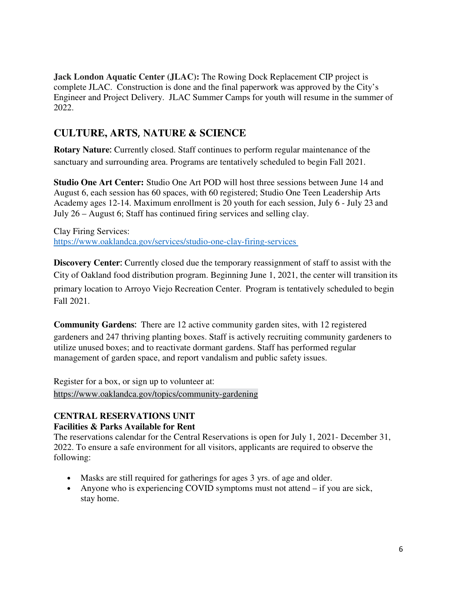**Jack London Aquatic Center (JLAC):** The Rowing Dock Replacement CIP project is complete JLAC. Construction is done and the final paperwork was approved by the City's Engineer and Project Delivery. JLAC Summer Camps for youth will resume in the summer of 2022.

## **CULTURE, ARTS**, **NATURE & SCIENCE**

**Rotary Nature**: Currently closed. Staff continues to perform regular maintenance of the sanctuary and surrounding area. Programs are tentatively scheduled to begin Fall 2021.  

**Studio One Art Center:** Studio One Art POD will host three sessions between June 14 and August 6, each session has 60 spaces, with 60 registered; Studio One Teen Leadership Arts Academy ages 12-14. Maximum enrollment is 20 youth for each session, July 6 - July 23 and July 26 – August 6; Staff has continued firing services and selling clay.  

Clay Firing Services:   https://www.oaklandca.gov/services/studio-one-clay-firing-services   

**Discovery Center**: Currently closed due the temporary reassignment of staff to assist with the City of Oakland food distribution program. Beginning June 1, 2021, the center will transition its primary location to Arroyo Viejo Recreation Center. Program is tentatively scheduled to begin Fall 2021.  

**Community Gardens**: There are 12 active community garden sites, with 12 registered gardeners and 247 thriving planting boxes. Staff is actively recruiting community gardeners to utilize unused boxes; and to reactivate dormant gardens. Staff has performed regular management of garden space, and report vandalism and public safety issues.   

Register for a box, or sign up to volunteer at:   https://www.oaklandca.gov/topics/community-gardening   Ξ

## **CENTRAL RESERVATIONS UNIT Facilities & Parks Available for Rent**

The reservations calendar for the Central Reservations is open for July 1, 2021- December 31, 2022. To ensure a safe environment for all visitors, applicants are required to observe the following:  

- Masks are still required for gatherings for ages 3 yrs. of age and older.
- Anyone who is experiencing COVID symptoms must not attend if you are sick, stay home.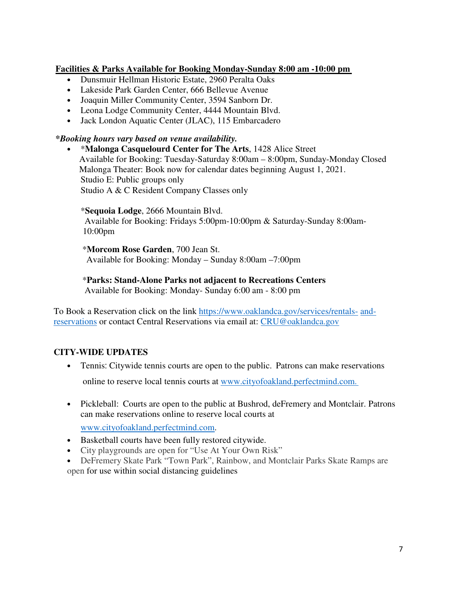### **Facilities & Parks Available for Booking Monday-Sunday 8:00 am -10:00 pm**

- Dunsmuir Hellman Historic Estate, 2960 Peralta Oaks
- Lakeside Park Garden Center, 666 Bellevue Avenue
- Joaquin Miller Community Center, 3594 Sanborn Dr.
- Leona Lodge Community Center, 4444 Mountain Blvd.
- Jack London Aquatic Center (JLAC), 115 Embarcadero

### *\*Booking hours vary based on venue availability.*

• \***Malonga Casquelourd Center for The Arts**, 1428 Alice Street                 Available for Booking: Tuesday-Saturday 8:00am – 8:00pm, Sunday-Monday Closed                 Malonga Theater: Book now for calendar dates beginning August 1, 2021.   Studio E: Public groups only Studio A & C Resident Company Classes only

#### \***Sequoia Lodge**, 2666 Mountain Blvd.

 Available for Booking: Fridays 5:00pm-10:00pm & Saturday-Sunday 8:00am- 10:00pm  

\***Morcom Rose Garden**, 700 Jean St.      Available for Booking: Monday – Sunday 8:00am –7:00pm  

### \***Parks: Stand-Alone Parks not adjacent to Recreations Centers**

Available for Booking: Monday- Sunday 6:00 am - 8:00 pm  

To Book a Reservation click on the link https://www.oaklandca.gov/services/rentals- andreservations or contact Central Reservations via email at: CRU@oaklandca.gov

## **CITY-WIDE UPDATES**

- Tennis: Citywide tennis courts are open to the public. Patrons can make reservations online to reserve local tennis courts at www.cityofoakland.perfectmind.com.
- Pickleball: Courts are open to the public at Bushrod, deFremery and Montclair. Patrons can make reservations online to reserve local courts at

www.cityofoakland.perfectmind.com.

- Basketball courts have been fully restored citywide.
- City playgrounds are open for "Use At Your Own Risk"
- DeFremery Skate Park "Town Park", Rainbow, and Montclair Parks Skate Ramps are open for use within social distancing guidelines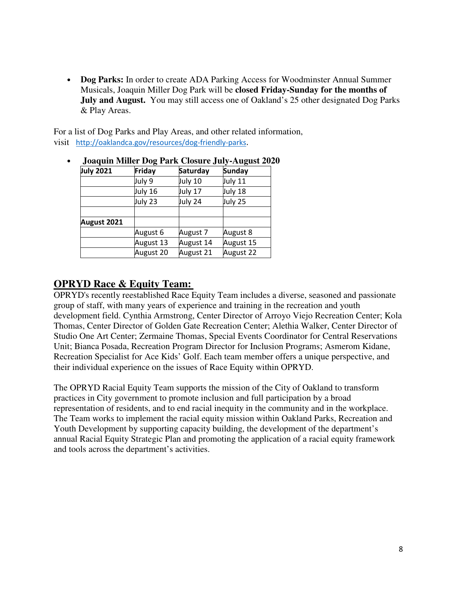• **Dog Parks:** In order to create ADA Parking Access for Woodminster Annual Summer Musicals, Joaquin Miller Dog Park will be **closed Friday-Sunday for the months of July and August.** You may still access one of Oakland's 25 other designated Dog Parks & Play Areas.

For a list of Dog Parks and Play Areas, and other related information, visit http://oaklandca.gov/resources/dog-friendly-parks.

| Joaquin Miller Dog Park Closure July-August 202 |           |           |               |
|-------------------------------------------------|-----------|-----------|---------------|
| <b>July 2021</b>                                | Friday    | Saturday  | <b>Sunday</b> |
|                                                 | July 9    | July 10   | July 11       |
|                                                 | July 16   | July 17   | July 18       |
|                                                 | July 23   | July 24   | July 25       |
|                                                 |           |           |               |
| August 2021                                     |           |           |               |
|                                                 | August 6  | August 7  | August 8      |
|                                                 | August 13 | August 14 | August 15     |
|                                                 | August 20 | August 21 | August 22     |

• **Joaquin Miller Dog Park Closure July-August 2020**

## **OPRYD Race & Equity Team:**

OPRYD's recently reestablished Race Equity Team includes a diverse, seasoned and passionate group of staff, with many years of experience and training in the recreation and youth development field. Cynthia Armstrong, Center Director of Arroyo Viejo Recreation Center; Kola Thomas, Center Director of Golden Gate Recreation Center; Alethia Walker, Center Director of Studio One Art Center; Zermaine Thomas, Special Events Coordinator for Central Reservations Unit; Bianca Posada, Recreation Program Director for Inclusion Programs; Asmerom Kidane, Recreation Specialist for Ace Kids' Golf. Each team member offers a unique perspective, and their individual experience on the issues of Race Equity within OPRYD.   

The OPRYD Racial Equity Team supports the mission of the City of Oakland to transform practices in City government to promote inclusion and full participation by a broad representation of residents, and to end racial inequity in the community and in the workplace. The Team works to implement the racial equity mission within Oakland Parks, Recreation and Youth Development by supporting capacity building, the development of the department's annual Racial Equity Strategic Plan and promoting the application of a racial equity framework and tools across the department's activities.